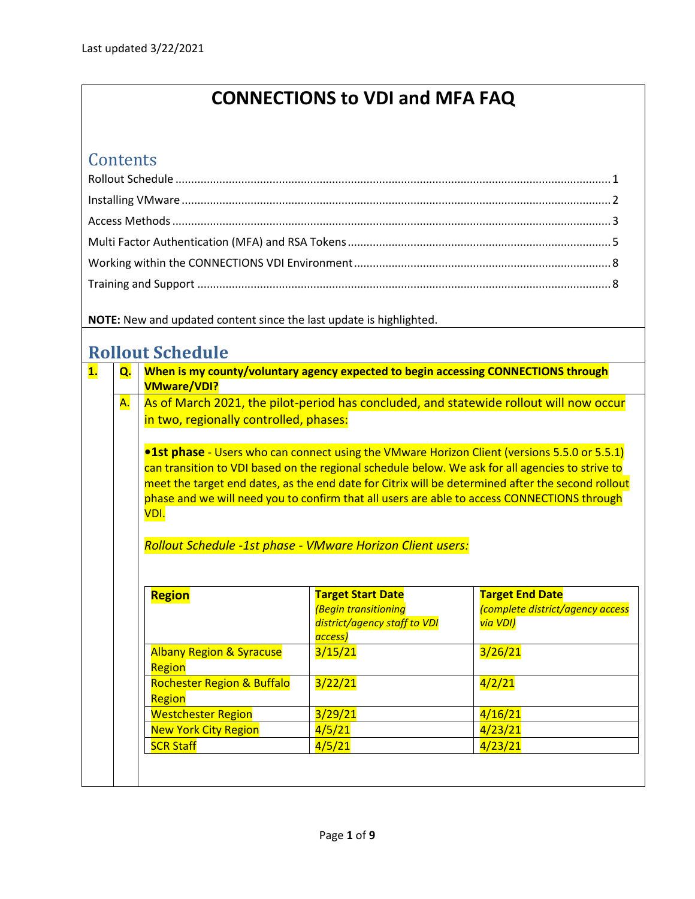# **CONNECTIONS to VDI and MFA FAQ**

# **Contents**

**NOTE:** New and updated content since the last update is highlighted.

## <span id="page-0-0"></span>**Rollout Schedule**

| Q. | <b>VMware/VDI?</b>                                         | When is my county/voluntary agency expected to begin accessing CONNECTIONS through |                                                                                                                                                                                                                                                                                                                                                                                                              |
|----|------------------------------------------------------------|------------------------------------------------------------------------------------|--------------------------------------------------------------------------------------------------------------------------------------------------------------------------------------------------------------------------------------------------------------------------------------------------------------------------------------------------------------------------------------------------------------|
| A. | in two, regionally controlled, phases:                     |                                                                                    | As of March 2021, the pilot-period has concluded, and statewide rollout will now occur                                                                                                                                                                                                                                                                                                                       |
|    | VDI.                                                       |                                                                                    | <b>. 1st phase</b> - Users who can connect using the VMware Horizon Client (versions 5.5.0 or 5.5.1)<br>can transition to VDI based on the regional schedule below. We ask for all agencies to strive to<br>meet the target end dates, as the end date for Citrix will be determined after the second rollout<br>phase and we will need you to confirm that all users are able to access CONNECTIONS through |
|    |                                                            |                                                                                    |                                                                                                                                                                                                                                                                                                                                                                                                              |
|    |                                                            |                                                                                    |                                                                                                                                                                                                                                                                                                                                                                                                              |
|    | Rollout Schedule -1st phase - VMware Horizon Client users: |                                                                                    |                                                                                                                                                                                                                                                                                                                                                                                                              |
|    | Region                                                     | <b>Target Start Date</b>                                                           | <b>Target End Date</b>                                                                                                                                                                                                                                                                                                                                                                                       |
|    |                                                            | <b>(Begin transitioning</b>                                                        | (complete district/agency access                                                                                                                                                                                                                                                                                                                                                                             |
|    |                                                            | district/agency staff to VDI                                                       | via VDI)                                                                                                                                                                                                                                                                                                                                                                                                     |
|    | <b>Albany Region &amp; Syracuse</b><br>Region              | access)<br>3/15/21                                                                 | 3/26/21                                                                                                                                                                                                                                                                                                                                                                                                      |
|    | <b>Rochester Region &amp; Buffalo</b><br>Region            | 3/22/21                                                                            | 4/2/21                                                                                                                                                                                                                                                                                                                                                                                                       |
|    | <b>Westchester Region</b>                                  | 3/29/21                                                                            | 4/16/21                                                                                                                                                                                                                                                                                                                                                                                                      |
|    | <b>New York City Region</b>                                | 4/5/21                                                                             | 4/23/21                                                                                                                                                                                                                                                                                                                                                                                                      |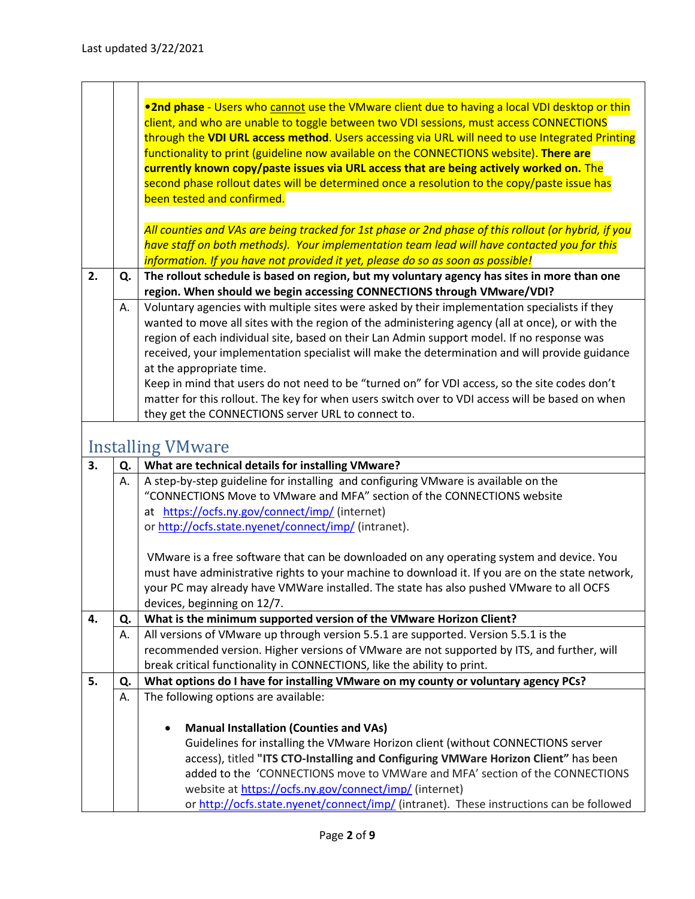<span id="page-1-0"></span>

| . 2nd phase - Users who cannot use the VMware client due to having a local VDI desktop or thin<br>client, and who are unable to toggle between two VDI sessions, must access CONNECTIONS<br>through the VDI URL access method. Users accessing via URL will need to use Integrated Printing<br>functionality to print (guideline now available on the CONNECTIONS website). There are<br>currently known copy/paste issues via URL access that are being actively worked on. The<br>second phase rollout dates will be determined once a resolution to the copy/paste issue has<br>been tested and confirmed.<br>All counties and VAs are being tracked for 1st phase or 2nd phase of this rollout (or hybrid, if you<br>have staff on both methods). Your implementation team lead will have contacted you for this<br>information. If you have not provided it yet, please do so as soon as possible!<br>The rollout schedule is based on region, but my voluntary agency has sites in more than one<br>2.<br>Q. |  |
|--------------------------------------------------------------------------------------------------------------------------------------------------------------------------------------------------------------------------------------------------------------------------------------------------------------------------------------------------------------------------------------------------------------------------------------------------------------------------------------------------------------------------------------------------------------------------------------------------------------------------------------------------------------------------------------------------------------------------------------------------------------------------------------------------------------------------------------------------------------------------------------------------------------------------------------------------------------------------------------------------------------------|--|
|                                                                                                                                                                                                                                                                                                                                                                                                                                                                                                                                                                                                                                                                                                                                                                                                                                                                                                                                                                                                                    |  |
|                                                                                                                                                                                                                                                                                                                                                                                                                                                                                                                                                                                                                                                                                                                                                                                                                                                                                                                                                                                                                    |  |
|                                                                                                                                                                                                                                                                                                                                                                                                                                                                                                                                                                                                                                                                                                                                                                                                                                                                                                                                                                                                                    |  |
|                                                                                                                                                                                                                                                                                                                                                                                                                                                                                                                                                                                                                                                                                                                                                                                                                                                                                                                                                                                                                    |  |
|                                                                                                                                                                                                                                                                                                                                                                                                                                                                                                                                                                                                                                                                                                                                                                                                                                                                                                                                                                                                                    |  |
|                                                                                                                                                                                                                                                                                                                                                                                                                                                                                                                                                                                                                                                                                                                                                                                                                                                                                                                                                                                                                    |  |
|                                                                                                                                                                                                                                                                                                                                                                                                                                                                                                                                                                                                                                                                                                                                                                                                                                                                                                                                                                                                                    |  |
|                                                                                                                                                                                                                                                                                                                                                                                                                                                                                                                                                                                                                                                                                                                                                                                                                                                                                                                                                                                                                    |  |
|                                                                                                                                                                                                                                                                                                                                                                                                                                                                                                                                                                                                                                                                                                                                                                                                                                                                                                                                                                                                                    |  |
|                                                                                                                                                                                                                                                                                                                                                                                                                                                                                                                                                                                                                                                                                                                                                                                                                                                                                                                                                                                                                    |  |
|                                                                                                                                                                                                                                                                                                                                                                                                                                                                                                                                                                                                                                                                                                                                                                                                                                                                                                                                                                                                                    |  |
|                                                                                                                                                                                                                                                                                                                                                                                                                                                                                                                                                                                                                                                                                                                                                                                                                                                                                                                                                                                                                    |  |
| region. When should we begin accessing CONNECTIONS through VMware/VDI?                                                                                                                                                                                                                                                                                                                                                                                                                                                                                                                                                                                                                                                                                                                                                                                                                                                                                                                                             |  |
| Voluntary agencies with multiple sites were asked by their implementation specialists if they<br>А.                                                                                                                                                                                                                                                                                                                                                                                                                                                                                                                                                                                                                                                                                                                                                                                                                                                                                                                |  |
| wanted to move all sites with the region of the administering agency (all at once), or with the                                                                                                                                                                                                                                                                                                                                                                                                                                                                                                                                                                                                                                                                                                                                                                                                                                                                                                                    |  |
| region of each individual site, based on their Lan Admin support model. If no response was                                                                                                                                                                                                                                                                                                                                                                                                                                                                                                                                                                                                                                                                                                                                                                                                                                                                                                                         |  |
| received, your implementation specialist will make the determination and will provide guidance                                                                                                                                                                                                                                                                                                                                                                                                                                                                                                                                                                                                                                                                                                                                                                                                                                                                                                                     |  |
| at the appropriate time.                                                                                                                                                                                                                                                                                                                                                                                                                                                                                                                                                                                                                                                                                                                                                                                                                                                                                                                                                                                           |  |
| Keep in mind that users do not need to be "turned on" for VDI access, so the site codes don't                                                                                                                                                                                                                                                                                                                                                                                                                                                                                                                                                                                                                                                                                                                                                                                                                                                                                                                      |  |
| matter for this rollout. The key for when users switch over to VDI access will be based on when                                                                                                                                                                                                                                                                                                                                                                                                                                                                                                                                                                                                                                                                                                                                                                                                                                                                                                                    |  |
| they get the CONNECTIONS server URL to connect to.                                                                                                                                                                                                                                                                                                                                                                                                                                                                                                                                                                                                                                                                                                                                                                                                                                                                                                                                                                 |  |
|                                                                                                                                                                                                                                                                                                                                                                                                                                                                                                                                                                                                                                                                                                                                                                                                                                                                                                                                                                                                                    |  |
| <b>Installing VMware</b>                                                                                                                                                                                                                                                                                                                                                                                                                                                                                                                                                                                                                                                                                                                                                                                                                                                                                                                                                                                           |  |
| 3.<br>What are technical details for installing VMware?<br>Q.                                                                                                                                                                                                                                                                                                                                                                                                                                                                                                                                                                                                                                                                                                                                                                                                                                                                                                                                                      |  |
| A step-by-step guideline for installing and configuring VMware is available on the<br>А.                                                                                                                                                                                                                                                                                                                                                                                                                                                                                                                                                                                                                                                                                                                                                                                                                                                                                                                           |  |
| "CONNECTIONS Move to VMware and MFA" section of the CONNECTIONS website                                                                                                                                                                                                                                                                                                                                                                                                                                                                                                                                                                                                                                                                                                                                                                                                                                                                                                                                            |  |
| at https://ocfs.ny.gov/connect/imp/ (internet)                                                                                                                                                                                                                                                                                                                                                                                                                                                                                                                                                                                                                                                                                                                                                                                                                                                                                                                                                                     |  |
| or http://ocfs.state.nyenet/connect/imp/ (intranet).                                                                                                                                                                                                                                                                                                                                                                                                                                                                                                                                                                                                                                                                                                                                                                                                                                                                                                                                                               |  |
|                                                                                                                                                                                                                                                                                                                                                                                                                                                                                                                                                                                                                                                                                                                                                                                                                                                                                                                                                                                                                    |  |
| VMware is a free software that can be downloaded on any operating system and device. You                                                                                                                                                                                                                                                                                                                                                                                                                                                                                                                                                                                                                                                                                                                                                                                                                                                                                                                           |  |
| must have administrative rights to your machine to download it. If you are on the state network,                                                                                                                                                                                                                                                                                                                                                                                                                                                                                                                                                                                                                                                                                                                                                                                                                                                                                                                   |  |
| your PC may already have VMWare installed. The state has also pushed VMware to all OCFS                                                                                                                                                                                                                                                                                                                                                                                                                                                                                                                                                                                                                                                                                                                                                                                                                                                                                                                            |  |
| devices, beginning on 12/7.                                                                                                                                                                                                                                                                                                                                                                                                                                                                                                                                                                                                                                                                                                                                                                                                                                                                                                                                                                                        |  |
| 4.<br>What is the minimum supported version of the VMware Horizon Client?<br>Q.                                                                                                                                                                                                                                                                                                                                                                                                                                                                                                                                                                                                                                                                                                                                                                                                                                                                                                                                    |  |
| All versions of VMware up through version 5.5.1 are supported. Version 5.5.1 is the<br>А.                                                                                                                                                                                                                                                                                                                                                                                                                                                                                                                                                                                                                                                                                                                                                                                                                                                                                                                          |  |
| recommended version. Higher versions of VMware are not supported by ITS, and further, will                                                                                                                                                                                                                                                                                                                                                                                                                                                                                                                                                                                                                                                                                                                                                                                                                                                                                                                         |  |
| break critical functionality in CONNECTIONS, like the ability to print.                                                                                                                                                                                                                                                                                                                                                                                                                                                                                                                                                                                                                                                                                                                                                                                                                                                                                                                                            |  |
|                                                                                                                                                                                                                                                                                                                                                                                                                                                                                                                                                                                                                                                                                                                                                                                                                                                                                                                                                                                                                    |  |
|                                                                                                                                                                                                                                                                                                                                                                                                                                                                                                                                                                                                                                                                                                                                                                                                                                                                                                                                                                                                                    |  |
| 5.<br>What options do I have for installing VMware on my county or voluntary agency PCs?<br>Q.                                                                                                                                                                                                                                                                                                                                                                                                                                                                                                                                                                                                                                                                                                                                                                                                                                                                                                                     |  |
| The following options are available:<br>А.                                                                                                                                                                                                                                                                                                                                                                                                                                                                                                                                                                                                                                                                                                                                                                                                                                                                                                                                                                         |  |
|                                                                                                                                                                                                                                                                                                                                                                                                                                                                                                                                                                                                                                                                                                                                                                                                                                                                                                                                                                                                                    |  |
| <b>Manual Installation (Counties and VAs)</b>                                                                                                                                                                                                                                                                                                                                                                                                                                                                                                                                                                                                                                                                                                                                                                                                                                                                                                                                                                      |  |
| Guidelines for installing the VMware Horizon client (without CONNECTIONS server                                                                                                                                                                                                                                                                                                                                                                                                                                                                                                                                                                                                                                                                                                                                                                                                                                                                                                                                    |  |
| access), titled "ITS CTO-Installing and Configuring VMWare Horizon Client" has been                                                                                                                                                                                                                                                                                                                                                                                                                                                                                                                                                                                                                                                                                                                                                                                                                                                                                                                                |  |
| added to the 'CONNECTIONS move to VMWare and MFA' section of the CONNECTIONS<br>website at https://ocfs.ny.gov/connect/imp/ (internet)                                                                                                                                                                                                                                                                                                                                                                                                                                                                                                                                                                                                                                                                                                                                                                                                                                                                             |  |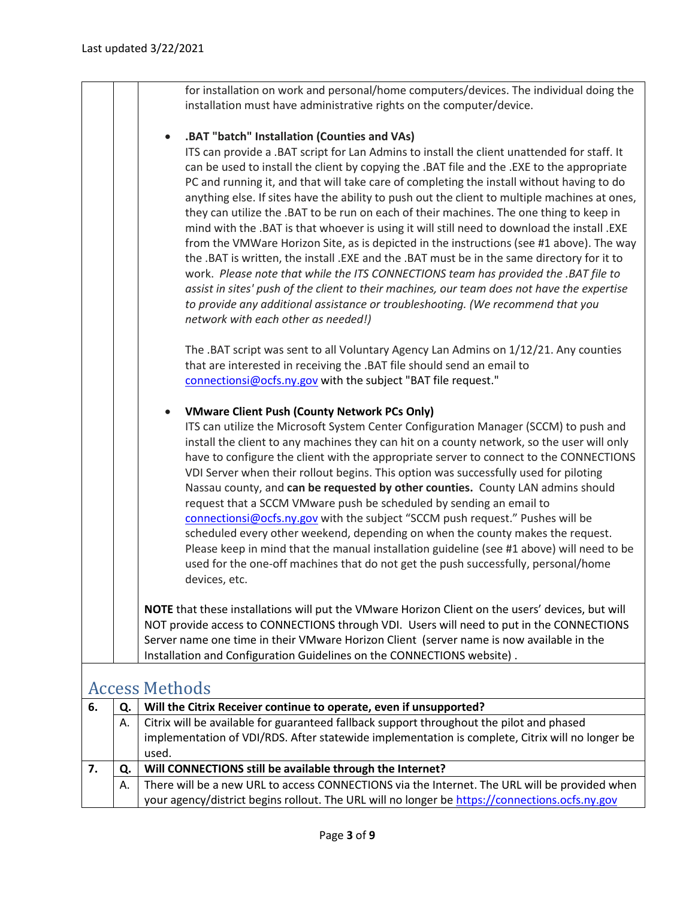for installation on work and personal/home computers/devices. The individual doing the installation must have administrative rights on the computer/device.

#### • **.BAT "batch" Installation (Counties and VAs)**

ITS can provide a .BAT script for Lan Admins to install the client unattended for staff. It can be used to install the client by copying the .BAT file and the .EXE to the appropriate PC and running it, and that will take care of completing the install without having to do anything else. If sites have the ability to push out the client to multiple machines at ones, they can utilize the .BAT to be run on each of their machines. The one thing to keep in mind with the .BAT is that whoever is using it will still need to download the install .EXE from the VMWare Horizon Site, as is depicted in the instructions (see #1 above). The way the .BAT is written, the install .EXE and the .BAT must be in the same directory for it to work. *Please note that while the ITS CONNECTIONS team has provided the .BAT file to assist in sites' push of the client to their machines, our team does not have the expertise to provide any additional assistance or troubleshooting. (We recommend that you network with each other as needed!)*

The .BAT script was sent to all Voluntary Agency Lan Admins on 1/12/21. Any counties that are interested in receiving the .BAT file should send an email to [connectionsi@ocfs.ny.gov](mailto:connectionsi@ocfs.ny.gov) with the subject "BAT file request."

#### • **VMware Client Push (County Network PCs Only)**

ITS can utilize the Microsoft System Center Configuration Manager (SCCM) to push and install the client to any machines they can hit on a county network, so the user will only have to configure the client with the appropriate server to connect to the CONNECTIONS VDI Server when their rollout begins. This option was successfully used for piloting Nassau county, and **can be requested by other counties.** County LAN admins should request that a SCCM VMware push be scheduled by sending an email to [connectionsi@ocfs.ny.gov](mailto:connectionsi@ocfs.ny.gov) with the subject "SCCM push request." Pushes will be scheduled every other weekend, depending on when the county makes the request. Please keep in mind that the manual installation guideline (see #1 above) will need to be used for the one-off machines that do not get the push successfully, personal/home devices, etc.

**NOTE** that these installations will put the VMware Horizon Client on the users' devices, but will NOT provide access to CONNECTIONS through VDI. Users will need to put in the CONNECTIONS Server name one time in their VMware Horizon Client (server name is now available in the Installation and Configuration Guidelines on the CONNECTIONS website) .

### <span id="page-2-0"></span>Access Methods

| -6. | Ο. | Will the Citrix Receiver continue to operate, even if unsupported?                              |
|-----|----|-------------------------------------------------------------------------------------------------|
|     | А. | Citrix will be available for guaranteed fallback support throughout the pilot and phased        |
|     |    | implementation of VDI/RDS. After statewide implementation is complete, Citrix will no longer be |
|     |    | used.                                                                                           |
|     |    | Will CONNECTIONS still be available through the Internet?                                       |
|     | А. | There will be a new URL to access CONNECTIONS via the Internet. The URL will be provided when   |
|     |    | your agency/district begins rollout. The URL will no longer be https://connections.ocfs.ny.gov  |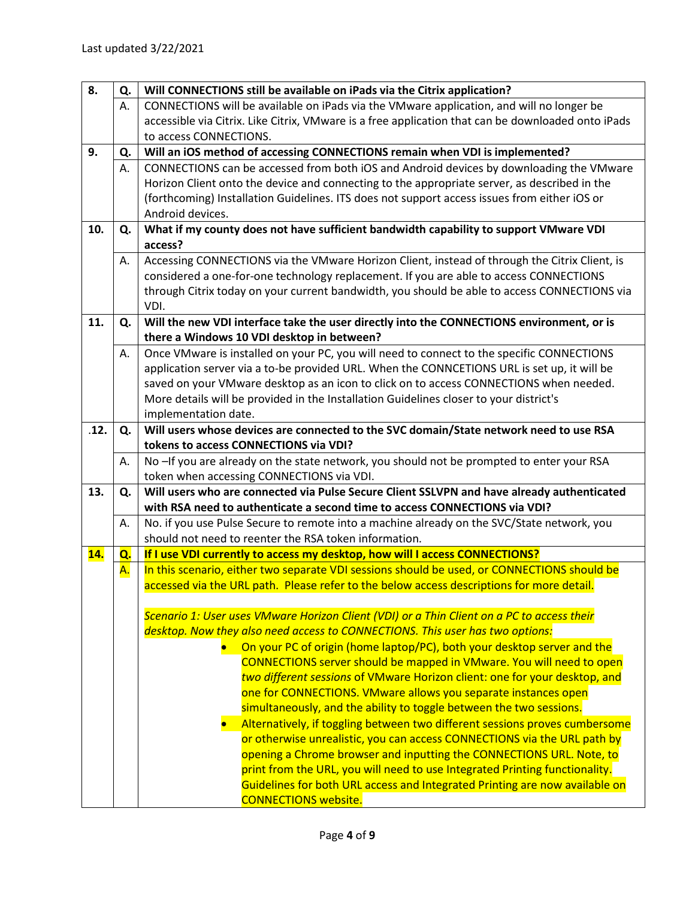| accessible via Citrix. Like Citrix, VMware is a free application that can be downloaded onto iPads |
|----------------------------------------------------------------------------------------------------|
|                                                                                                    |
|                                                                                                    |
| CONNECTIONS can be accessed from both iOS and Android devices by downloading the VMware            |
|                                                                                                    |
|                                                                                                    |
|                                                                                                    |
|                                                                                                    |
|                                                                                                    |
|                                                                                                    |
|                                                                                                    |
| through Citrix today on your current bandwidth, you should be able to access CONNECTIONS via       |
|                                                                                                    |
|                                                                                                    |
|                                                                                                    |
|                                                                                                    |
|                                                                                                    |
|                                                                                                    |
|                                                                                                    |
|                                                                                                    |
|                                                                                                    |
|                                                                                                    |
|                                                                                                    |
|                                                                                                    |
|                                                                                                    |
|                                                                                                    |
|                                                                                                    |
|                                                                                                    |
|                                                                                                    |
|                                                                                                    |
|                                                                                                    |
|                                                                                                    |
|                                                                                                    |
|                                                                                                    |
|                                                                                                    |
|                                                                                                    |
|                                                                                                    |
|                                                                                                    |
| • Alternatively, if toggling between two different sessions proves cumbersome                      |
|                                                                                                    |
|                                                                                                    |
|                                                                                                    |
|                                                                                                    |
|                                                                                                    |
| Guidelines for both URL access and Integrated Printing are now available on                        |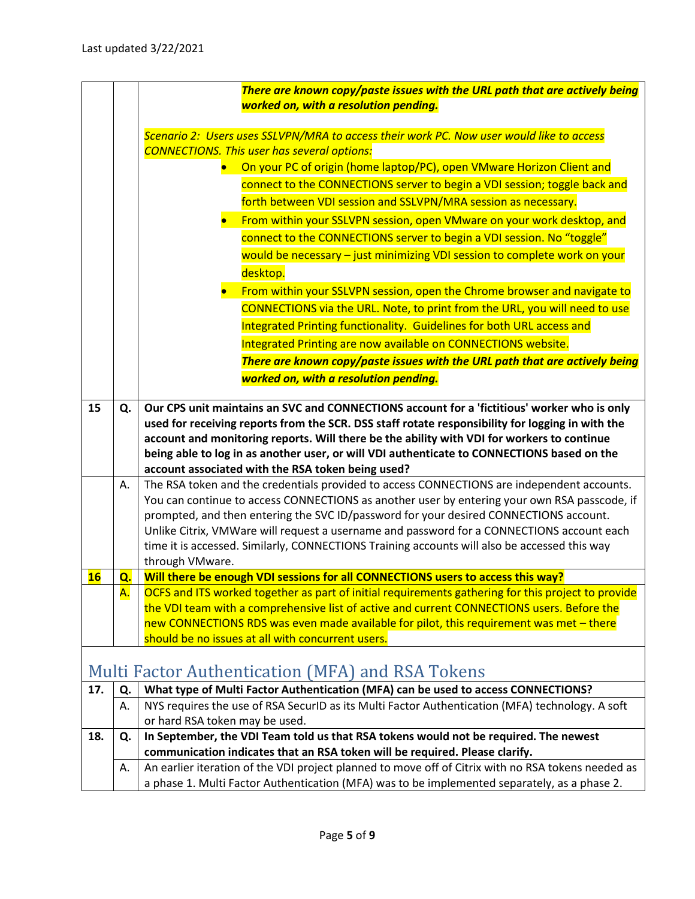<span id="page-4-0"></span>

|     |    | There are known copy/paste issues with the URL path that are actively being                                                                                                              |
|-----|----|------------------------------------------------------------------------------------------------------------------------------------------------------------------------------------------|
|     |    | worked on, with a resolution pending.                                                                                                                                                    |
|     |    |                                                                                                                                                                                          |
|     |    | Scenario 2: Users uses SSLVPN/MRA to access their work PC. Now user would like to access                                                                                                 |
|     |    | <b>CONNECTIONS. This user has several options:</b><br>On your PC of origin (home laptop/PC), open VMware Horizon Client and                                                              |
|     |    | connect to the CONNECTIONS server to begin a VDI session; toggle back and                                                                                                                |
|     |    |                                                                                                                                                                                          |
|     |    | forth between VDI session and SSLVPN/MRA session as necessary.                                                                                                                           |
|     |    | From within your SSLVPN session, open VMware on your work desktop, and                                                                                                                   |
|     |    | connect to the CONNECTIONS server to begin a VDI session. No "toggle"                                                                                                                    |
|     |    | would be necessary - just minimizing VDI session to complete work on your                                                                                                                |
|     |    | desktop.                                                                                                                                                                                 |
|     |    | From within your SSLVPN session, open the Chrome browser and navigate to                                                                                                                 |
|     |    | CONNECTIONS via the URL. Note, to print from the URL, you will need to use                                                                                                               |
|     |    | Integrated Printing functionality. Guidelines for both URL access and                                                                                                                    |
|     |    | Integrated Printing are now available on CONNECTIONS website.                                                                                                                            |
|     |    | There are known copy/paste issues with the URL path that are actively being                                                                                                              |
|     |    | worked on, with a resolution pending.                                                                                                                                                    |
|     |    |                                                                                                                                                                                          |
| 15  | Q. | Our CPS unit maintains an SVC and CONNECTIONS account for a 'fictitious' worker who is only                                                                                              |
|     |    | used for receiving reports from the SCR. DSS staff rotate responsibility for logging in with the                                                                                         |
|     |    | account and monitoring reports. Will there be the ability with VDI for workers to continue<br>being able to log in as another user, or will VDI authenticate to CONNECTIONS based on the |
|     |    | account associated with the RSA token being used?                                                                                                                                        |
|     | А. | The RSA token and the credentials provided to access CONNECTIONS are independent accounts.                                                                                               |
|     |    | You can continue to access CONNECTIONS as another user by entering your own RSA passcode, if                                                                                             |
|     |    | prompted, and then entering the SVC ID/password for your desired CONNECTIONS account.                                                                                                    |
|     |    | Unlike Citrix, VMWare will request a username and password for a CONNECTIONS account each                                                                                                |
|     |    | time it is accessed. Similarly, CONNECTIONS Training accounts will also be accessed this way                                                                                             |
|     |    | through VMware.                                                                                                                                                                          |
| 16  | Q. | Will there be enough VDI sessions for all CONNECTIONS users to access this way?<br>OCFS and ITS worked together as part of initial requirements gathering for this project to provide    |
|     | A. | the VDI team with a comprehensive list of active and current CONNECTIONS users. Before the                                                                                               |
|     |    | new CONNECTIONS RDS was even made available for pilot, this requirement was met - there                                                                                                  |
|     |    | should be no issues at all with concurrent users.                                                                                                                                        |
|     |    |                                                                                                                                                                                          |
|     |    | Multi Factor Authentication (MFA) and RSA Tokens                                                                                                                                         |
| 17. | Q. | What type of Multi Factor Authentication (MFA) can be used to access CONNECTIONS?                                                                                                        |
|     | А. | NYS requires the use of RSA SecurID as its Multi Factor Authentication (MFA) technology. A soft                                                                                          |
|     |    | or hard RSA token may be used.                                                                                                                                                           |
| 18. | Q. | In September, the VDI Team told us that RSA tokens would not be required. The newest                                                                                                     |
|     |    | communication indicates that an RSA token will be required. Please clarify.                                                                                                              |
|     | А. | An earlier iteration of the VDI project planned to move off of Citrix with no RSA tokens needed as                                                                                       |
|     |    | a phase 1. Multi Factor Authentication (MFA) was to be implemented separately, as a phase 2.                                                                                             |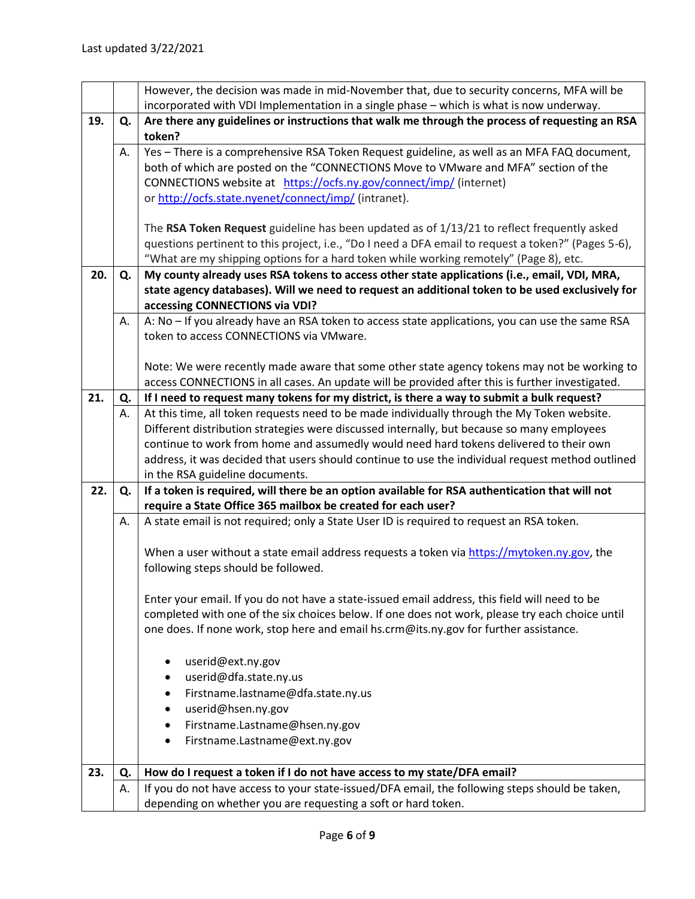|     |          | However, the decision was made in mid-November that, due to security concerns, MFA will be                                                                                                    |
|-----|----------|-----------------------------------------------------------------------------------------------------------------------------------------------------------------------------------------------|
|     |          | incorporated with VDI Implementation in a single phase - which is what is now underway.                                                                                                       |
| 19. | Q.       | Are there any guidelines or instructions that walk me through the process of requesting an RSA                                                                                                |
|     |          | token?                                                                                                                                                                                        |
|     | А.       | Yes - There is a comprehensive RSA Token Request guideline, as well as an MFA FAQ document,                                                                                                   |
|     |          | both of which are posted on the "CONNECTIONS Move to VMware and MFA" section of the                                                                                                           |
|     |          | CONNECTIONS website at https://ocfs.ny.gov/connect/imp/ (internet)                                                                                                                            |
|     |          | or http://ocfs.state.nyenet/connect/imp/ (intranet).                                                                                                                                          |
|     |          |                                                                                                                                                                                               |
|     |          | The RSA Token Request guideline has been updated as of 1/13/21 to reflect frequently asked                                                                                                    |
|     |          | questions pertinent to this project, i.e., "Do I need a DFA email to request a token?" (Pages 5-6),                                                                                           |
|     |          | "What are my shipping options for a hard token while working remotely" (Page 8), etc.                                                                                                         |
| 20. | Q.       | My county already uses RSA tokens to access other state applications (i.e., email, VDI, MRA,                                                                                                  |
|     |          | state agency databases). Will we need to request an additional token to be used exclusively for                                                                                               |
|     |          | accessing CONNECTIONS via VDI?                                                                                                                                                                |
|     | Α.       | A: No - If you already have an RSA token to access state applications, you can use the same RSA                                                                                               |
|     |          | token to access CONNECTIONS via VMware.                                                                                                                                                       |
|     |          |                                                                                                                                                                                               |
|     |          | Note: We were recently made aware that some other state agency tokens may not be working to                                                                                                   |
| 21. |          | access CONNECTIONS in all cases. An update will be provided after this is further investigated.<br>If I need to request many tokens for my district, is there a way to submit a bulk request? |
|     | Q.<br>А. | At this time, all token requests need to be made individually through the My Token website.                                                                                                   |
|     |          | Different distribution strategies were discussed internally, but because so many employees                                                                                                    |
|     |          | continue to work from home and assumedly would need hard tokens delivered to their own                                                                                                        |
|     |          | address, it was decided that users should continue to use the individual request method outlined                                                                                              |
|     |          | in the RSA guideline documents.                                                                                                                                                               |
| 22. | Q.       | If a token is required, will there be an option available for RSA authentication that will not                                                                                                |
|     |          | require a State Office 365 mailbox be created for each user?                                                                                                                                  |
|     | Α.       | A state email is not required; only a State User ID is required to request an RSA token.                                                                                                      |
|     |          |                                                                                                                                                                                               |
|     |          | When a user without a state email address requests a token via https://mytoken.ny.gov, the                                                                                                    |
|     |          | following steps should be followed.                                                                                                                                                           |
|     |          |                                                                                                                                                                                               |
|     |          | Enter your email. If you do not have a state-issued email address, this field will need to be                                                                                                 |
|     |          | completed with one of the six choices below. If one does not work, please try each choice until                                                                                               |
|     |          | one does. If none work, stop here and email hs.crm@its.ny.gov for further assistance.                                                                                                         |
|     |          |                                                                                                                                                                                               |
|     |          | userid@ext.ny.gov                                                                                                                                                                             |
|     |          | userid@dfa.state.ny.us                                                                                                                                                                        |
|     |          | Firstname.lastname@dfa.state.ny.us                                                                                                                                                            |
|     |          | userid@hsen.ny.gov                                                                                                                                                                            |
|     |          | Firstname.Lastname@hsen.ny.gov<br>٠                                                                                                                                                           |
|     |          | Firstname.Lastname@ext.ny.gov                                                                                                                                                                 |
|     |          |                                                                                                                                                                                               |
| 23. | Q.       | How do I request a token if I do not have access to my state/DFA email?                                                                                                                       |
|     | А.       | If you do not have access to your state-issued/DFA email, the following steps should be taken,                                                                                                |
|     |          | depending on whether you are requesting a soft or hard token.                                                                                                                                 |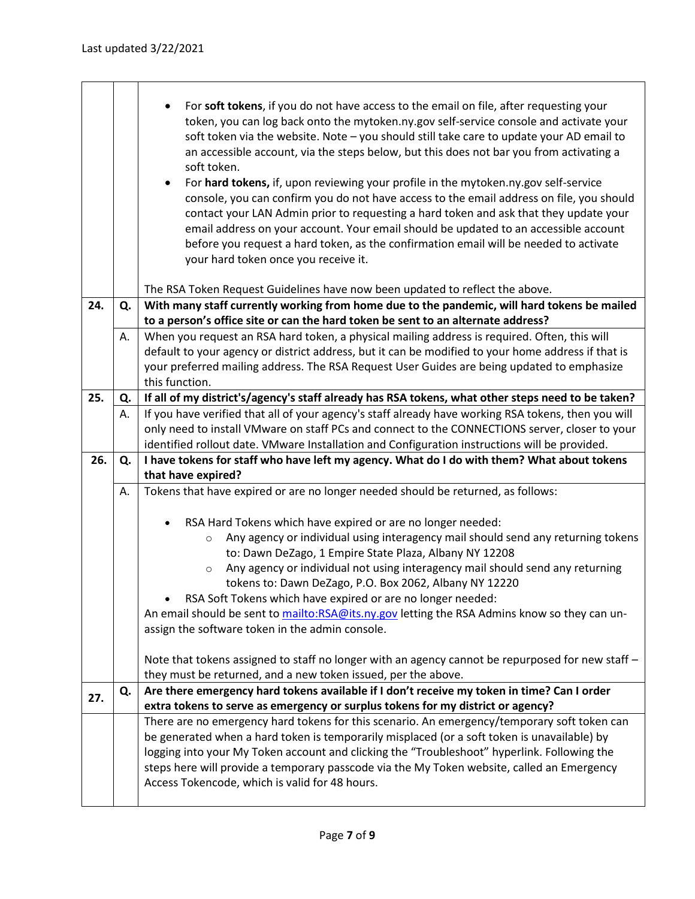|     |    | For soft tokens, if you do not have access to the email on file, after requesting your<br>token, you can log back onto the mytoken.ny.gov self-service console and activate your<br>soft token via the website. Note - you should still take care to update your AD email to<br>an accessible account, via the steps below, but this does not bar you from activating a<br>soft token.<br>For hard tokens, if, upon reviewing your profile in the mytoken.ny.gov self-service<br>$\bullet$<br>console, you can confirm you do not have access to the email address on file, you should<br>contact your LAN Admin prior to requesting a hard token and ask that they update your<br>email address on your account. Your email should be updated to an accessible account<br>before you request a hard token, as the confirmation email will be needed to activate<br>your hard token once you receive it. |
|-----|----|----------------------------------------------------------------------------------------------------------------------------------------------------------------------------------------------------------------------------------------------------------------------------------------------------------------------------------------------------------------------------------------------------------------------------------------------------------------------------------------------------------------------------------------------------------------------------------------------------------------------------------------------------------------------------------------------------------------------------------------------------------------------------------------------------------------------------------------------------------------------------------------------------------|
|     |    | The RSA Token Request Guidelines have now been updated to reflect the above.                                                                                                                                                                                                                                                                                                                                                                                                                                                                                                                                                                                                                                                                                                                                                                                                                             |
| 24. | Q. | With many staff currently working from home due to the pandemic, will hard tokens be mailed                                                                                                                                                                                                                                                                                                                                                                                                                                                                                                                                                                                                                                                                                                                                                                                                              |
|     |    | to a person's office site or can the hard token be sent to an alternate address?                                                                                                                                                                                                                                                                                                                                                                                                                                                                                                                                                                                                                                                                                                                                                                                                                         |
|     | А. | When you request an RSA hard token, a physical mailing address is required. Often, this will                                                                                                                                                                                                                                                                                                                                                                                                                                                                                                                                                                                                                                                                                                                                                                                                             |
|     |    | default to your agency or district address, but it can be modified to your home address if that is                                                                                                                                                                                                                                                                                                                                                                                                                                                                                                                                                                                                                                                                                                                                                                                                       |
|     |    | your preferred mailing address. The RSA Request User Guides are being updated to emphasize                                                                                                                                                                                                                                                                                                                                                                                                                                                                                                                                                                                                                                                                                                                                                                                                               |
|     |    | this function.                                                                                                                                                                                                                                                                                                                                                                                                                                                                                                                                                                                                                                                                                                                                                                                                                                                                                           |
| 25. | Q. | If all of my district's/agency's staff already has RSA tokens, what other steps need to be taken?                                                                                                                                                                                                                                                                                                                                                                                                                                                                                                                                                                                                                                                                                                                                                                                                        |
|     | А. | If you have verified that all of your agency's staff already have working RSA tokens, then you will                                                                                                                                                                                                                                                                                                                                                                                                                                                                                                                                                                                                                                                                                                                                                                                                      |
|     |    | only need to install VMware on staff PCs and connect to the CONNECTIONS server, closer to your                                                                                                                                                                                                                                                                                                                                                                                                                                                                                                                                                                                                                                                                                                                                                                                                           |
|     |    | identified rollout date. VMware Installation and Configuration instructions will be provided.                                                                                                                                                                                                                                                                                                                                                                                                                                                                                                                                                                                                                                                                                                                                                                                                            |
| 26. | Q. | I have tokens for staff who have left my agency. What do I do with them? What about tokens                                                                                                                                                                                                                                                                                                                                                                                                                                                                                                                                                                                                                                                                                                                                                                                                               |
|     |    | that have expired?                                                                                                                                                                                                                                                                                                                                                                                                                                                                                                                                                                                                                                                                                                                                                                                                                                                                                       |
|     | А. | Tokens that have expired or are no longer needed should be returned, as follows:                                                                                                                                                                                                                                                                                                                                                                                                                                                                                                                                                                                                                                                                                                                                                                                                                         |
|     |    |                                                                                                                                                                                                                                                                                                                                                                                                                                                                                                                                                                                                                                                                                                                                                                                                                                                                                                          |
|     |    | RSA Hard Tokens which have expired or are no longer needed:<br>$\bullet$                                                                                                                                                                                                                                                                                                                                                                                                                                                                                                                                                                                                                                                                                                                                                                                                                                 |
|     |    | Any agency or individual using interagency mail should send any returning tokens                                                                                                                                                                                                                                                                                                                                                                                                                                                                                                                                                                                                                                                                                                                                                                                                                         |
|     |    | $\circ$<br>to: Dawn DeZago, 1 Empire State Plaza, Albany NY 12208                                                                                                                                                                                                                                                                                                                                                                                                                                                                                                                                                                                                                                                                                                                                                                                                                                        |
|     |    | Any agency or individual not using interagency mail should send any returning                                                                                                                                                                                                                                                                                                                                                                                                                                                                                                                                                                                                                                                                                                                                                                                                                            |
|     |    | $\circ$<br>tokens to: Dawn DeZago, P.O. Box 2062, Albany NY 12220                                                                                                                                                                                                                                                                                                                                                                                                                                                                                                                                                                                                                                                                                                                                                                                                                                        |
|     |    |                                                                                                                                                                                                                                                                                                                                                                                                                                                                                                                                                                                                                                                                                                                                                                                                                                                                                                          |
|     |    | RSA Soft Tokens which have expired or are no longer needed:<br>An email should be sent to mailto:RSA@its.ny.gov letting the RSA Admins know so they can un-                                                                                                                                                                                                                                                                                                                                                                                                                                                                                                                                                                                                                                                                                                                                              |
|     |    | assign the software token in the admin console.                                                                                                                                                                                                                                                                                                                                                                                                                                                                                                                                                                                                                                                                                                                                                                                                                                                          |
|     |    |                                                                                                                                                                                                                                                                                                                                                                                                                                                                                                                                                                                                                                                                                                                                                                                                                                                                                                          |
|     |    | Note that tokens assigned to staff no longer with an agency cannot be repurposed for new staff -                                                                                                                                                                                                                                                                                                                                                                                                                                                                                                                                                                                                                                                                                                                                                                                                         |
|     |    | they must be returned, and a new token issued, per the above.                                                                                                                                                                                                                                                                                                                                                                                                                                                                                                                                                                                                                                                                                                                                                                                                                                            |
|     | Q. | Are there emergency hard tokens available if I don't receive my token in time? Can I order                                                                                                                                                                                                                                                                                                                                                                                                                                                                                                                                                                                                                                                                                                                                                                                                               |
| 27. |    | extra tokens to serve as emergency or surplus tokens for my district or agency?                                                                                                                                                                                                                                                                                                                                                                                                                                                                                                                                                                                                                                                                                                                                                                                                                          |
|     |    | There are no emergency hard tokens for this scenario. An emergency/temporary soft token can                                                                                                                                                                                                                                                                                                                                                                                                                                                                                                                                                                                                                                                                                                                                                                                                              |
|     |    | be generated when a hard token is temporarily misplaced (or a soft token is unavailable) by                                                                                                                                                                                                                                                                                                                                                                                                                                                                                                                                                                                                                                                                                                                                                                                                              |
|     |    | logging into your My Token account and clicking the "Troubleshoot" hyperlink. Following the                                                                                                                                                                                                                                                                                                                                                                                                                                                                                                                                                                                                                                                                                                                                                                                                              |
|     |    |                                                                                                                                                                                                                                                                                                                                                                                                                                                                                                                                                                                                                                                                                                                                                                                                                                                                                                          |
|     |    | steps here will provide a temporary passcode via the My Token website, called an Emergency                                                                                                                                                                                                                                                                                                                                                                                                                                                                                                                                                                                                                                                                                                                                                                                                               |
|     |    | Access Tokencode, which is valid for 48 hours.                                                                                                                                                                                                                                                                                                                                                                                                                                                                                                                                                                                                                                                                                                                                                                                                                                                           |
|     |    |                                                                                                                                                                                                                                                                                                                                                                                                                                                                                                                                                                                                                                                                                                                                                                                                                                                                                                          |

 $\overline{\phantom{a}}$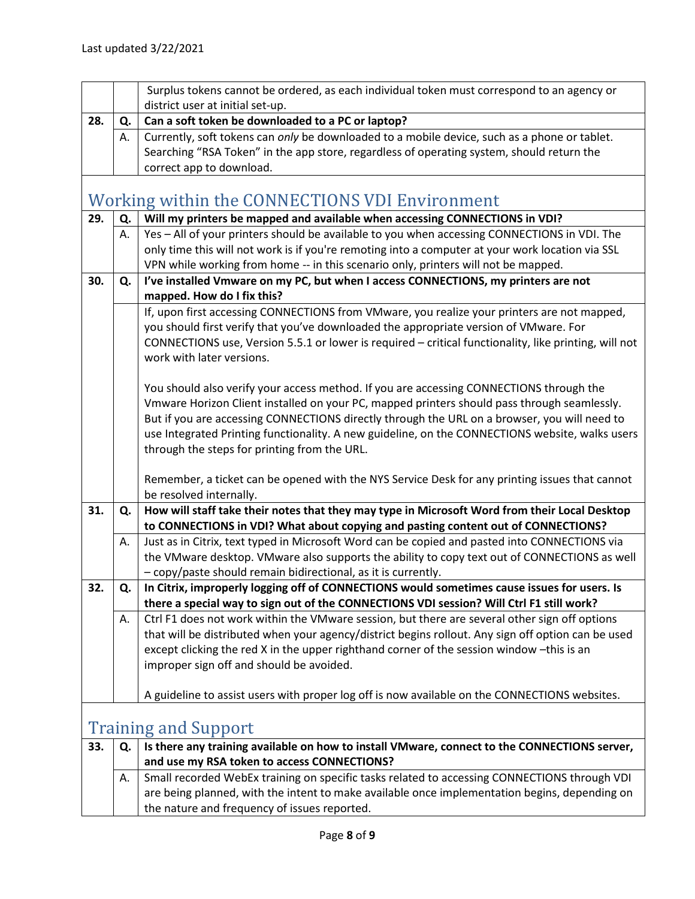<span id="page-7-1"></span><span id="page-7-0"></span>

|     |    | Surplus tokens cannot be ordered, as each individual token must correspond to an agency or                                            |
|-----|----|---------------------------------------------------------------------------------------------------------------------------------------|
|     |    | district user at initial set-up.                                                                                                      |
| 28. | Q. | Can a soft token be downloaded to a PC or laptop?                                                                                     |
|     | А. | Currently, soft tokens can only be downloaded to a mobile device, such as a phone or tablet.                                          |
|     |    | Searching "RSA Token" in the app store, regardless of operating system, should return the                                             |
|     |    | correct app to download.                                                                                                              |
|     |    | <b>Working within the CONNECTIONS VDI Environment</b>                                                                                 |
| 29. | Q. | Will my printers be mapped and available when accessing CONNECTIONS in VDI?                                                           |
|     | А. | Yes - All of your printers should be available to you when accessing CONNECTIONS in VDI. The                                          |
|     |    | only time this will not work is if you're remoting into a computer at your work location via SSL                                      |
|     |    | VPN while working from home -- in this scenario only, printers will not be mapped.                                                    |
| 30. | Q. | I've installed Vmware on my PC, but when I access CONNECTIONS, my printers are not                                                    |
|     |    | mapped. How do I fix this?                                                                                                            |
|     |    | If, upon first accessing CONNECTIONS from VMware, you realize your printers are not mapped,                                           |
|     |    | you should first verify that you've downloaded the appropriate version of VMware. For                                                 |
|     |    | CONNECTIONS use, Version 5.5.1 or lower is required - critical functionality, like printing, will not                                 |
|     |    | work with later versions.                                                                                                             |
|     |    |                                                                                                                                       |
|     |    | You should also verify your access method. If you are accessing CONNECTIONS through the                                               |
|     |    | Vmware Horizon Client installed on your PC, mapped printers should pass through seamlessly.                                           |
|     |    | But if you are accessing CONNECTIONS directly through the URL on a browser, you will need to                                          |
|     |    | use Integrated Printing functionality. A new guideline, on the CONNECTIONS website, walks users                                       |
|     |    | through the steps for printing from the URL.                                                                                          |
|     |    | Remember, a ticket can be opened with the NYS Service Desk for any printing issues that cannot                                        |
|     |    | be resolved internally.                                                                                                               |
| 31. | Q. | How will staff take their notes that they may type in Microsoft Word from their Local Desktop                                         |
|     |    | to CONNECTIONS in VDI? What about copying and pasting content out of CONNECTIONS?                                                     |
|     | А. | Just as in Citrix, text typed in Microsoft Word can be copied and pasted into CONNECTIONS via                                         |
|     |    | the VMware desktop. VMware also supports the ability to copy text out of CONNECTIONS as well                                          |
|     |    | - copy/paste should remain bidirectional, as it is currently.                                                                         |
| 32  | Q. | In Citrix, improperly logging off of CONNECTIONS would sometimes cause issues for users. Is                                           |
|     |    | there a special way to sign out of the CONNECTIONS VDI session? Will Ctrl F1 still work?                                              |
|     | А. | Ctrl F1 does not work within the VMware session, but there are several other sign off options                                         |
|     |    | that will be distributed when your agency/district begins rollout. Any sign off option can be used                                    |
|     |    | except clicking the red X in the upper righthand corner of the session window -this is an<br>improper sign off and should be avoided. |
|     |    |                                                                                                                                       |
|     |    | A guideline to assist users with proper log off is now available on the CONNECTIONS websites.                                         |
|     |    |                                                                                                                                       |
|     |    | <b>Training and Support</b>                                                                                                           |
| 33. | Q. | Is there any training available on how to install VMware, connect to the CONNECTIONS server,                                          |
|     |    | and use my RSA token to access CONNECTIONS?                                                                                           |
|     | А. | Small recorded WebEx training on specific tasks related to accessing CONNECTIONS through VDI                                          |
|     |    | are being planned, with the intent to make available once implementation begins, depending on                                         |
|     |    | the nature and frequency of issues reported.                                                                                          |